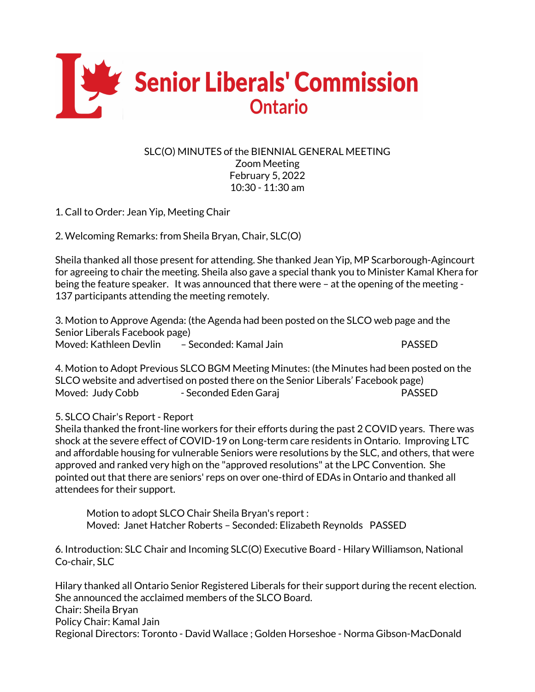

## SLC(O) MINUTES of the BIENNIAL GENERAL MEETING Zoom Meeting February 5, 2022 10:30 - 11:30 am

1. Call to Order: Jean Yip, Meeting Chair

2. Welcoming Remarks: from Sheila Bryan, Chair, SLC(O)

Sheila thanked all those present for attending. She thanked Jean Yip, MP Scarborough-Agincourt for agreeing to chair the meeting. Sheila also gave a special thank you to Minister Kamal Khera for being the feature speaker. It was announced that there were – at the opening of the meeting - 137 participants attending the meeting remotely.

3. Motion to Approve Agenda: (the Agenda had been posted on the SLCO web page and the Senior Liberals Facebook page) Moved: Kathleen Devlin – Seconded: Kamal Jain PASSED

4. Motion to Adopt Previous SLCO BGM Meeting Minutes: (the Minutes had been posted on the SLCO website and advertised on posted there on the Senior Liberals' Facebook page) Moved: Judy Cobb - Seconded Eden Garaj PASSED

## 5. SLCO Chair's Report - Report

Sheila thanked the front-line workers for their efforts during the past 2 COVID years. There was shock at the severe effect of COVID-19 on Long-term care residents in Ontario. Improving LTC and affordable housing for vulnerable Seniors were resolutions by the SLC, and others, that were approved and ranked very high on the "approved resolutions" at the LPC Convention. She pointed out that there are seniors' reps on over one-third of EDAs in Ontario and thanked all attendees for their support.

Motion to adopt SLCO Chair Sheila Bryan's report : Moved: Janet Hatcher Roberts – Seconded: Elizabeth Reynolds PASSED

6. Introduction: SLC Chair and Incoming SLC(O) Executive Board - Hilary Williamson, National Co-chair, SLC

Hilary thanked all Ontario Senior Registered Liberals for their support during the recent election. She announced the acclaimed members of the SLCO Board. Chair: Sheila Bryan Policy Chair: Kamal Jain Regional Directors: Toronto - David Wallace ; Golden Horseshoe - Norma Gibson-MacDonald